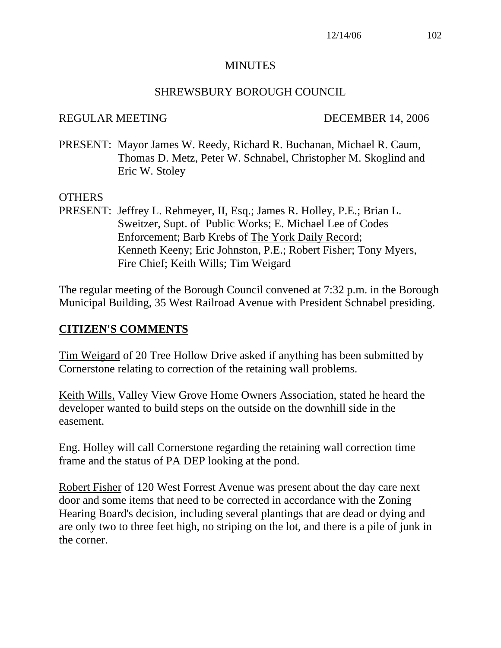#### MINUTES

#### SHREWSBURY BOROUGH COUNCIL

#### REGULAR MEETING DECEMBER 14, 2006

PRESENT: Mayor James W. Reedy, Richard R. Buchanan, Michael R. Caum, Thomas D. Metz, Peter W. Schnabel, Christopher M. Skoglind and Eric W. Stoley

#### OTHERS

PRESENT: Jeffrey L. Rehmeyer, II, Esq.; James R. Holley, P.E.; Brian L. Sweitzer, Supt. of Public Works; E. Michael Lee of Codes Enforcement; Barb Krebs of The York Daily Record; Kenneth Keeny; Eric Johnston, P.E.; Robert Fisher; Tony Myers, Fire Chief; Keith Wills; Tim Weigard

The regular meeting of the Borough Council convened at 7:32 p.m. in the Borough Municipal Building, 35 West Railroad Avenue with President Schnabel presiding.

#### **CITIZEN'S COMMENTS**

Tim Weigard of 20 Tree Hollow Drive asked if anything has been submitted by Cornerstone relating to correction of the retaining wall problems.

Keith Wills, Valley View Grove Home Owners Association, stated he heard the developer wanted to build steps on the outside on the downhill side in the easement.

Eng. Holley will call Cornerstone regarding the retaining wall correction time frame and the status of PA DEP looking at the pond.

Robert Fisher of 120 West Forrest Avenue was present about the day care next door and some items that need to be corrected in accordance with the Zoning Hearing Board's decision, including several plantings that are dead or dying and are only two to three feet high, no striping on the lot, and there is a pile of junk in the corner.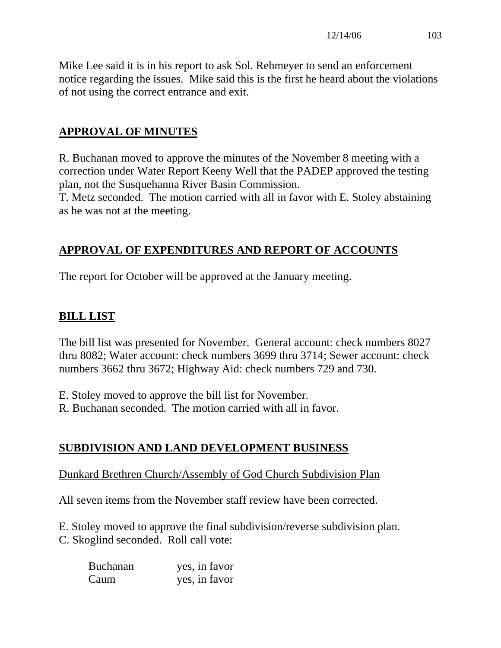Mike Lee said it is in his report to ask Sol. Rehmeyer to send an enforcement notice regarding the issues. Mike said this is the first he heard about the violations of not using the correct entrance and exit.

# **APPROVAL OF MINUTES**

R. Buchanan moved to approve the minutes of the November 8 meeting with a correction under Water Report Keeny Well that the PADEP approved the testing plan, not the Susquehanna River Basin Commission.

T. Metz seconded. The motion carried with all in favor with E. Stoley abstaining as he was not at the meeting.

# **APPROVAL OF EXPENDITURES AND REPORT OF ACCOUNTS**

The report for October will be approved at the January meeting.

# **BILL LIST**

The bill list was presented for November. General account: check numbers 8027 thru 8082; Water account: check numbers 3699 thru 3714; Sewer account: check numbers 3662 thru 3672; Highway Aid: check numbers 729 and 730.

E. Stoley moved to approve the bill list for November.

R. Buchanan seconded. The motion carried with all in favor.

# **SUBDIVISION AND LAND DEVELOPMENT BUSINESS**

## Dunkard Brethren Church/Assembly of God Church Subdivision Plan

All seven items from the November staff review have been corrected.

E. Stoley moved to approve the final subdivision/reverse subdivision plan. C. Skoglind seconded. Roll call vote:

| <b>Buchanan</b> | yes, in favor |
|-----------------|---------------|
| Caum            | yes, in favor |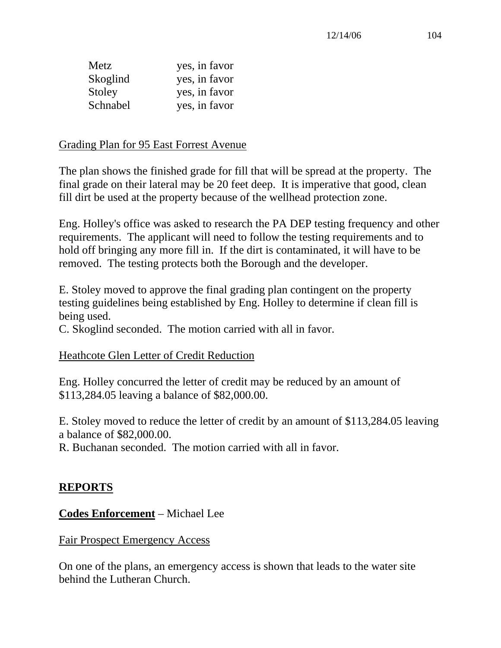| Metz     | yes, in favor |
|----------|---------------|
| Skoglind | yes, in favor |
| Stoley   | yes, in favor |
| Schnabel | yes, in favor |

#### Grading Plan for 95 East Forrest Avenue

The plan shows the finished grade for fill that will be spread at the property. The final grade on their lateral may be 20 feet deep. It is imperative that good, clean fill dirt be used at the property because of the wellhead protection zone.

Eng. Holley's office was asked to research the PA DEP testing frequency and other requirements. The applicant will need to follow the testing requirements and to hold off bringing any more fill in. If the dirt is contaminated, it will have to be removed. The testing protects both the Borough and the developer.

E. Stoley moved to approve the final grading plan contingent on the property testing guidelines being established by Eng. Holley to determine if clean fill is being used.

C. Skoglind seconded. The motion carried with all in favor.

#### Heathcote Glen Letter of Credit Reduction

Eng. Holley concurred the letter of credit may be reduced by an amount of \$113,284.05 leaving a balance of \$82,000.00.

E. Stoley moved to reduce the letter of credit by an amount of \$113,284.05 leaving a balance of \$82,000.00.

R. Buchanan seconded. The motion carried with all in favor.

#### **REPORTS**

#### **Codes Enforcement** – Michael Lee

#### Fair Prospect Emergency Access

On one of the plans, an emergency access is shown that leads to the water site behind the Lutheran Church.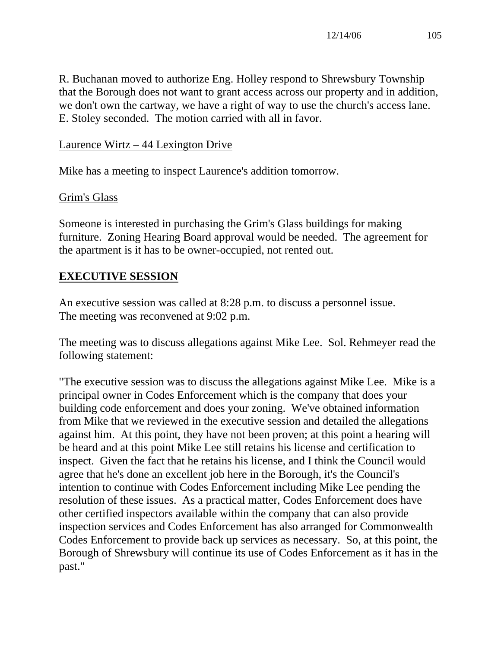R. Buchanan moved to authorize Eng. Holley respond to Shrewsbury Township that the Borough does not want to grant access across our property and in addition, we don't own the cartway, we have a right of way to use the church's access lane. E. Stoley seconded. The motion carried with all in favor.

Laurence Wirtz – 44 Lexington Drive

Mike has a meeting to inspect Laurence's addition tomorrow.

## Grim's Glass

Someone is interested in purchasing the Grim's Glass buildings for making furniture. Zoning Hearing Board approval would be needed. The agreement for the apartment is it has to be owner-occupied, not rented out.

# **EXECUTIVE SESSION**

An executive session was called at 8:28 p.m. to discuss a personnel issue. The meeting was reconvened at 9:02 p.m.

The meeting was to discuss allegations against Mike Lee. Sol. Rehmeyer read the following statement:

"The executive session was to discuss the allegations against Mike Lee. Mike is a principal owner in Codes Enforcement which is the company that does your building code enforcement and does your zoning. We've obtained information from Mike that we reviewed in the executive session and detailed the allegations against him. At this point, they have not been proven; at this point a hearing will be heard and at this point Mike Lee still retains his license and certification to inspect. Given the fact that he retains his license, and I think the Council would agree that he's done an excellent job here in the Borough, it's the Council's intention to continue with Codes Enforcement including Mike Lee pending the resolution of these issues. As a practical matter, Codes Enforcement does have other certified inspectors available within the company that can also provide inspection services and Codes Enforcement has also arranged for Commonwealth Codes Enforcement to provide back up services as necessary. So, at this point, the Borough of Shrewsbury will continue its use of Codes Enforcement as it has in the past."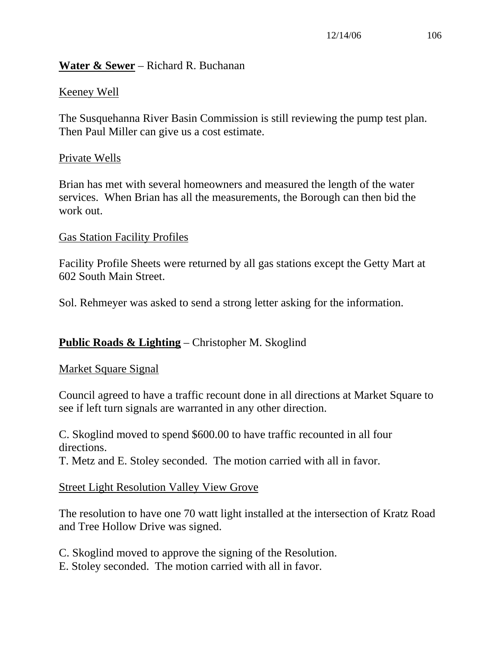## **Water & Sewer** – Richard R. Buchanan

# Keeney Well

The Susquehanna River Basin Commission is still reviewing the pump test plan. Then Paul Miller can give us a cost estimate.

#### Private Wells

Brian has met with several homeowners and measured the length of the water services. When Brian has all the measurements, the Borough can then bid the work out.

#### Gas Station Facility Profiles

Facility Profile Sheets were returned by all gas stations except the Getty Mart at 602 South Main Street.

Sol. Rehmeyer was asked to send a strong letter asking for the information.

## **Public Roads & Lighting** – Christopher M. Skoglind

#### Market Square Signal

Council agreed to have a traffic recount done in all directions at Market Square to see if left turn signals are warranted in any other direction.

C. Skoglind moved to spend \$600.00 to have traffic recounted in all four directions.

T. Metz and E. Stoley seconded. The motion carried with all in favor.

#### Street Light Resolution Valley View Grove

The resolution to have one 70 watt light installed at the intersection of Kratz Road and Tree Hollow Drive was signed.

C. Skoglind moved to approve the signing of the Resolution.

E. Stoley seconded. The motion carried with all in favor.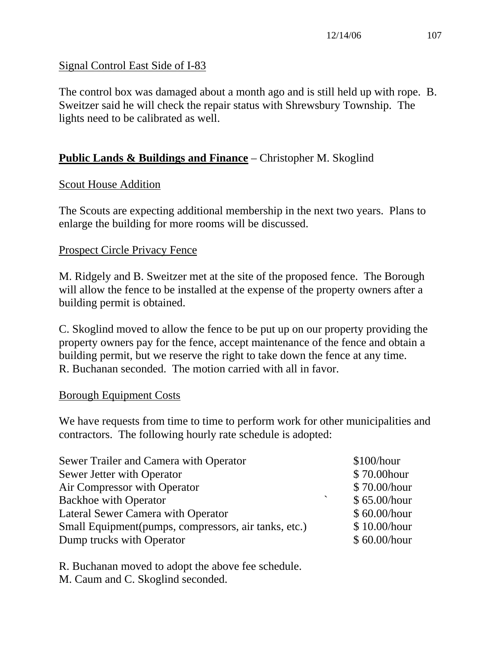#### Signal Control East Side of I-83

The control box was damaged about a month ago and is still held up with rope. B. Sweitzer said he will check the repair status with Shrewsbury Township. The lights need to be calibrated as well.

# **Public Lands & Buildings and Finance** – Christopher M. Skoglind

#### Scout House Addition

The Scouts are expecting additional membership in the next two years. Plans to enlarge the building for more rooms will be discussed.

#### Prospect Circle Privacy Fence

M. Ridgely and B. Sweitzer met at the site of the proposed fence. The Borough will allow the fence to be installed at the expense of the property owners after a building permit is obtained.

C. Skoglind moved to allow the fence to be put up on our property providing the property owners pay for the fence, accept maintenance of the fence and obtain a building permit, but we reserve the right to take down the fence at any time. R. Buchanan seconded. The motion carried with all in favor.

#### Borough Equipment Costs

We have requests from time to time to perform work for other municipalities and contractors. The following hourly rate schedule is adopted:

| Sewer Trailer and Camera with Operator                   | \$100/hour   |
|----------------------------------------------------------|--------------|
| Sewer Jetter with Operator                               | \$70.00 hour |
| Air Compressor with Operator                             | \$70.00/hour |
| $\overline{\phantom{0}}$<br><b>Backhoe with Operator</b> | \$65.00/hour |
| <b>Lateral Sewer Camera with Operator</b>                | \$60.00/hour |
| Small Equipment (pumps, compressors, air tanks, etc.)    | \$10.00/hour |
| Dump trucks with Operator                                | \$60.00/hour |

R. Buchanan moved to adopt the above fee schedule. M. Caum and C. Skoglind seconded.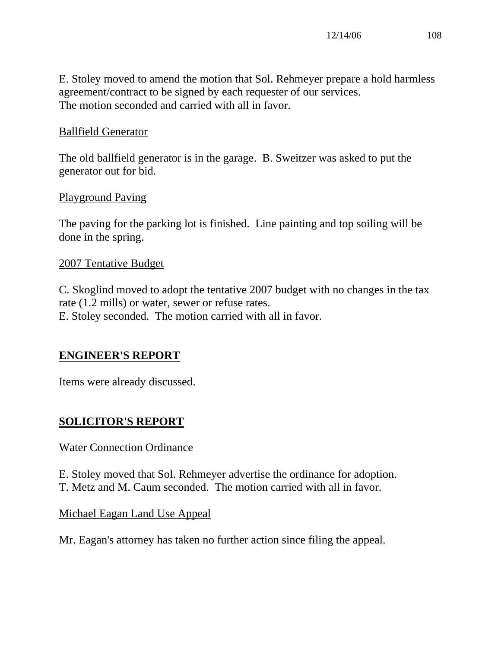E. Stoley moved to amend the motion that Sol. Rehmeyer prepare a hold harmless agreement/contract to be signed by each requester of our services. The motion seconded and carried with all in favor.

## Ballfield Generator

The old ballfield generator is in the garage. B. Sweitzer was asked to put the generator out for bid.

#### Playground Paving

The paving for the parking lot is finished. Line painting and top soiling will be done in the spring.

#### 2007 Tentative Budget

C. Skoglind moved to adopt the tentative 2007 budget with no changes in the tax rate (1.2 mills) or water, sewer or refuse rates. E. Stoley seconded. The motion carried with all in favor.

#### **ENGINEER'S REPORT**

Items were already discussed.

## **SOLICITOR'S REPORT**

#### Water Connection Ordinance

E. Stoley moved that Sol. Rehmeyer advertise the ordinance for adoption. T. Metz and M. Caum seconded. The motion carried with all in favor.

#### Michael Eagan Land Use Appeal

Mr. Eagan's attorney has taken no further action since filing the appeal.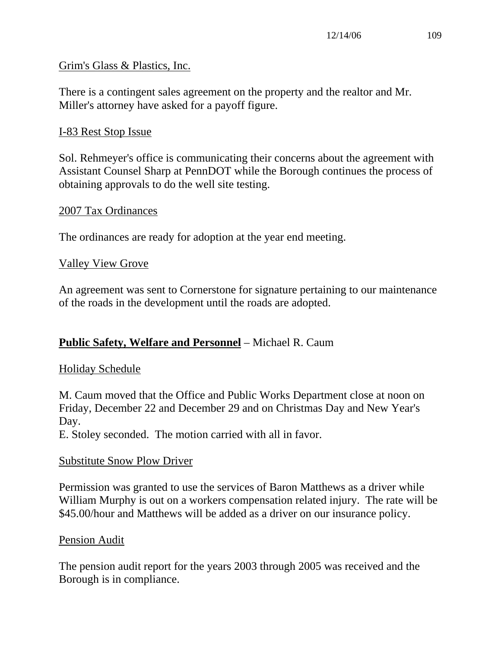#### Grim's Glass & Plastics, Inc.

There is a contingent sales agreement on the property and the realtor and Mr. Miller's attorney have asked for a payoff figure.

#### I-83 Rest Stop Issue

Sol. Rehmeyer's office is communicating their concerns about the agreement with Assistant Counsel Sharp at PennDOT while the Borough continues the process of obtaining approvals to do the well site testing.

#### 2007 Tax Ordinances

The ordinances are ready for adoption at the year end meeting.

#### Valley View Grove

An agreement was sent to Cornerstone for signature pertaining to our maintenance of the roads in the development until the roads are adopted.

#### **Public Safety, Welfare and Personnel** – Michael R. Caum

#### Holiday Schedule

M. Caum moved that the Office and Public Works Department close at noon on Friday, December 22 and December 29 and on Christmas Day and New Year's Day.

E. Stoley seconded. The motion carried with all in favor.

#### Substitute Snow Plow Driver

Permission was granted to use the services of Baron Matthews as a driver while William Murphy is out on a workers compensation related injury. The rate will be \$45.00/hour and Matthews will be added as a driver on our insurance policy.

#### Pension Audit

The pension audit report for the years 2003 through 2005 was received and the Borough is in compliance.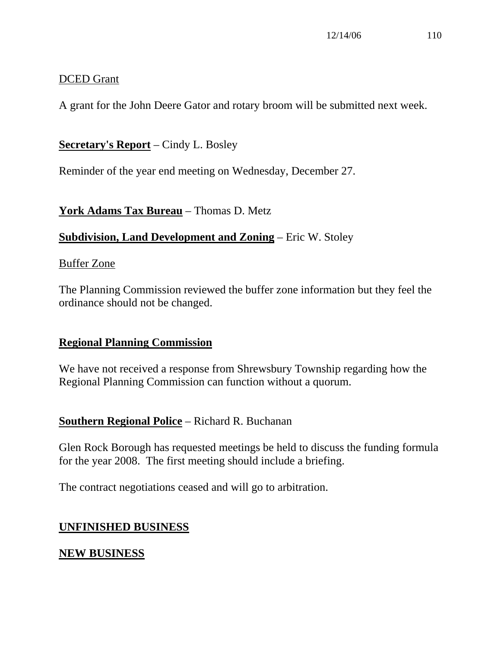#### DCED Grant

A grant for the John Deere Gator and rotary broom will be submitted next week.

## **Secretary's Report** – Cindy L. Bosley

Reminder of the year end meeting on Wednesday, December 27.

## **York Adams Tax Bureau** – Thomas D. Metz

## **Subdivision, Land Development and Zoning** – Eric W. Stoley

#### Buffer Zone

The Planning Commission reviewed the buffer zone information but they feel the ordinance should not be changed.

## **Regional Planning Commission**

We have not received a response from Shrewsbury Township regarding how the Regional Planning Commission can function without a quorum.

## **Southern Regional Police** – Richard R. Buchanan

Glen Rock Borough has requested meetings be held to discuss the funding formula for the year 2008. The first meeting should include a briefing.

The contract negotiations ceased and will go to arbitration.

## **UNFINISHED BUSINESS**

## **NEW BUSINESS**